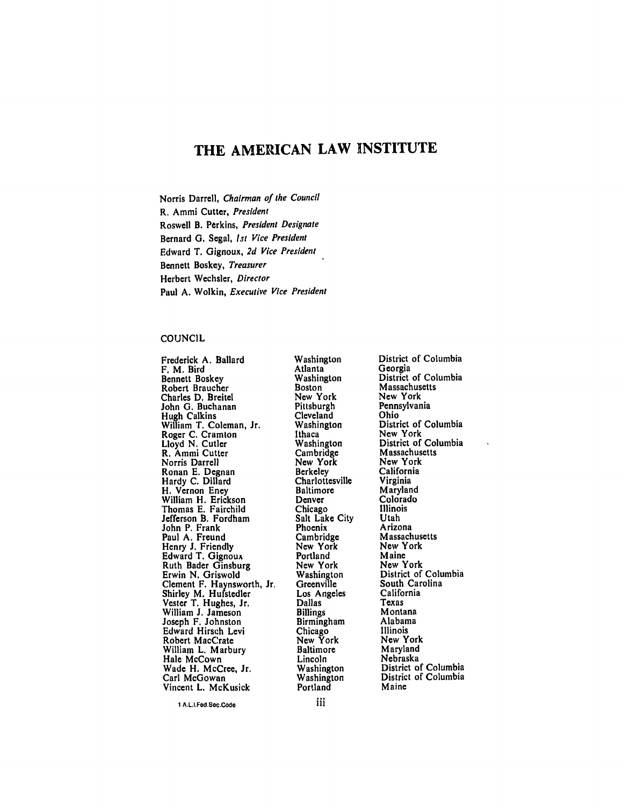# THE **AMERICAN** LAW **INSTITUTE**

Norris Darrell, Chairman of the Council R. Ammi Cutter, President Roswell B. Perkins, President Designate Bernard **G.** Segal, *1st* Vice President Edward T. Gignoux, **2d** Vice President Bennett Boskey, Treasurer Herbert Wechsler, Director Paul **A.** Wolkin, Executive Vice President

#### **COUNCIL**

Frederick **A.** Ballard F. M. Bird Bennett Boskey Robert Braucher Charles **D.** Breitel John **G.** Buchanan Hugh Calkins William T. Coleman, Jr. Roger **C.** Cramton Lloyd **N.** Cutler R. Ammi Cutter Norris Darrell Ronan **E.** Degnan Hardy C. Dillard<br>H. Vernon Eney H. Vernon Eney<br>William H. Erickson Thomas **E.** Fairchild Jefferson B. Fordham John P. Frank Paul **A.** Freund Henry **J.** Friendly Edward T. Gignoux Ruth Bader Ginsburg Erwin **N.** Griswold Clement F. Haynsworth, Jr. Shirley M. Hufstedler Vester T. Hughes, Jr. William **J.** Jameson Joseph F. Johnston Edward Hirsch Levi Robert MacCrate William L. Marbury Hale McCown Wade H. McCree, Jr. Carl McGowan Vincent L. McKusick

Washington Atlanta Washington **Boston** New York **Pittsburgh** Cleveland Washington Ithaca Washington Cambridge New York **Berkeley** Charlottesville Baltimore Denver Chicago Salt Lake City Phoenix Cambridge New York Portland New York Washington **Greenville** Los Angeles Dallas Billings Birmingham Chicago New York Baltimore Lincoln Washington Washington Portland

District of Columbia Georgia District of Columbia Massachusetts New York Pennsylvania Ohio District of Columbia New York District of Columbia Massachusetts New York California Virginia Maryland Colorado Illinois Utah Arizona Massachusetts New York Maine New York District of Columbia South Carolina California Texas Montana Alabama Illinois New York Maryland Nebraska District of Columbia District of Columbia Maine

**I** A.L.I.Fed.Sec.Code

iii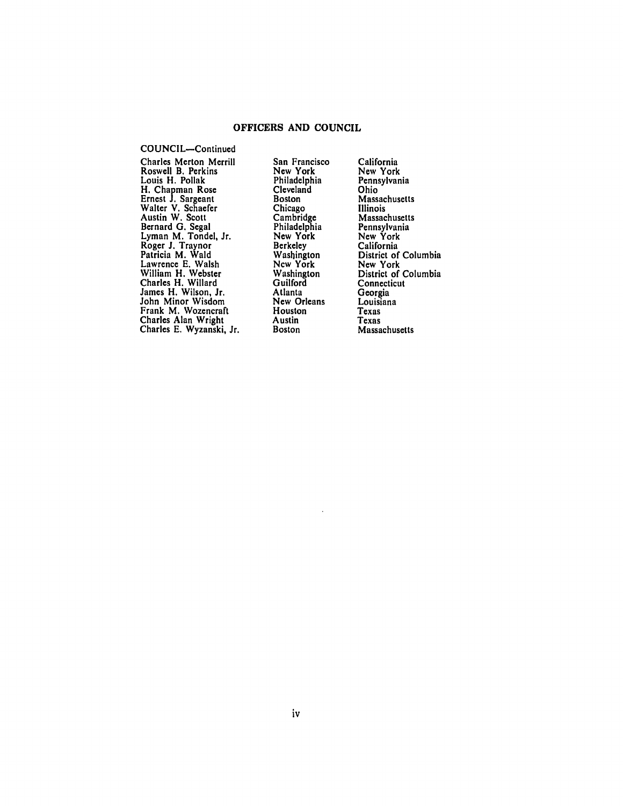### OFFICERS **AND COUNCIL**

COUNCIL-Continued Charles Merton Merril<br>Roswell B. Perkins Louis H. Pollak H. Chapman Rose Ernest **J.** Sargeant Walter V. Schaefer Austin W. Scott Bernard **G.** Segal Lyman M. Tondel, Jr. Roger **J.** Traynor Patricia M. Wald Lawrence **E.** Walsh William H. Webster Charles H. Willard James H. Wilson, Jr. John Minor Wisdom Frank M. Wozencraft Charles Alan Wright Charles **E.** Wyzanski, Jr.

San Francisco New York Philadelphia Cleveland Boston Chicago Cambridge Philadelphia New York Berkeley Washington New York Washington **Guilford** Atlanta New Orleans **Houston** Austin Boston

California New York Pennsylvania Ohio Massachusetts Illinois Massachusetts Pennsylvania New York California District of Columbia New York District of Columbia **Connecticut** Georgia Louisiana Texas Texas Massachusetts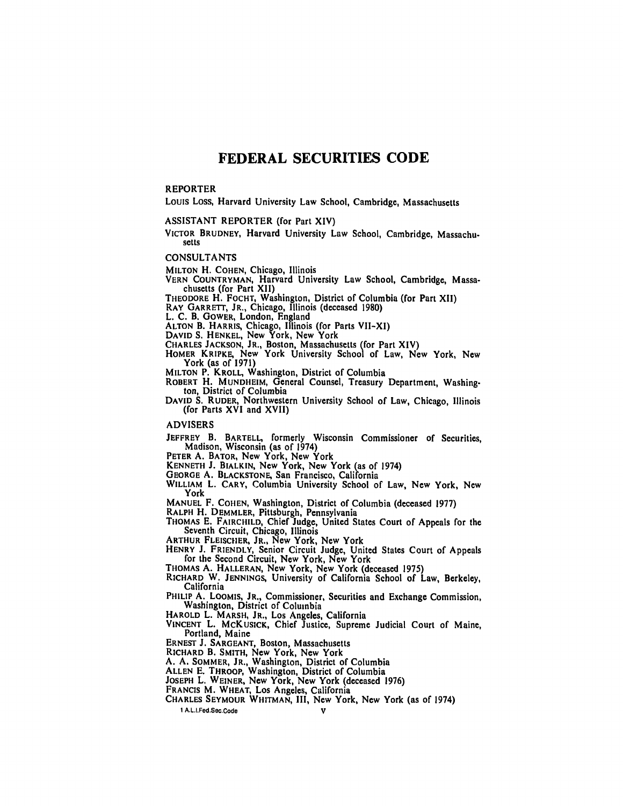# **FEDERAL SECURITIES CODE**

#### REPORTER

Louis Loss, Harvard University Law School, Cambridge, Massachusetts

ASSISTANT REPORTER (for Part XIV)

VICTOR **BRUDNEY,** Harvard University Law School, Cambridge, Massachu. setts

**CONSULTANTS**

**MILTON** H. **COHEN,** Chicago, Illinois

- **VERN COUNTRYMAN,** Harvard University Law School, Cambridge, Massachusetts (for Part XII)
- **THEODORE** H. FOCHT, Washington, District of Columbia (for Part XII)

**RAY GARRETT, JR.,** Chicago, Illinois (deceased **1980)**

L. **C.** B. GOWER, London, England

**ALTON** B. **HARRIS,** Chicago, Illinois (for Parts VII-XI)

**DAVID S. HENKEL,** New York, New York

CHARLES **JACKSON, JR.,** Boston, Massachusetts (for Part XIV)

**HOMER KRIPKE,** New York University School of Law, New York, New York (as of **1971)**

**MILTON** P. **KROLL,** Washington, District of Columbia

- ROBERT H. MUNDHEIM, General Counsel, Treasury Department, Washington, District of Columbia
- **DAVID S.** RUDER, Northwestern University School of Law, Chicago, Illinois (for Parts XVI and XVII)

ADVISERS

JEFFREY B. **BARTELL,** formerly Wisconsin Commissioner of Securities, Madison, Wisconsin (as of 1974)

**PETER A. BATOR,** New York, New York

**KENNETH J. BIALKIN,** New York, New York (as of 1974)

**GEORGE A. BLACKSTONE,** San Francisco, California

WILLIAM L. **CARY,** Columbia University School of Law, New York, New York

MANUEL F. **COHEN,** Washington, District of Columbia (deceased **1977)**

**RALPH** H. **DEMMLER,** Pittsburgh, Pennsylvania **THOMAS E. FAIRCHILD,** Chief Judge, United States Court of Appeals for the Seventh Circuit, Chicago, Illinois

**ARTHUR FLEISCHER, JR.,** New York, New York

- **HENRY J. FRIENDLY,** Senior Circuit Judge, United States Court of Appeals for the Second Circuit, New York, New York
- **THOMAS A. HALLERAN,** New York, New York (deceased **1975)**
- **RICHARD** W. **JENNINGS,** University of California School of Law, Berkeley, California
- **PHILIP A. LOOMIS, JR.,** Commissioner, Securities and Exchange Commission, Washington, District of Columbia

**HAROLD** L. **MARSH, JR.,** Los Angeles, California

**VINCENT** L. McKUSICK, Chief Justice, Supreme Judicial Court of Maine, Portland, Maine

**ERNEST J. SARGEANT,** Boston, Massachusetts

**RICHARD** B. SMITH, New York, New York

**A. A.** SOMMER, JR., Washington, District of Columbia

**ALLEN E. THROOP,** Washington, District of Columbia

**JOSEPH** L. WEINER, New York, New York (deceased **1976)**

**FRANCIS** M. WHEAT, Los Angeles, California

**CHARLES SEYMOUR WHITMAN,** III, New York, New York (as of 1974)

**1** A.L..Fed.Sec.Code **V**